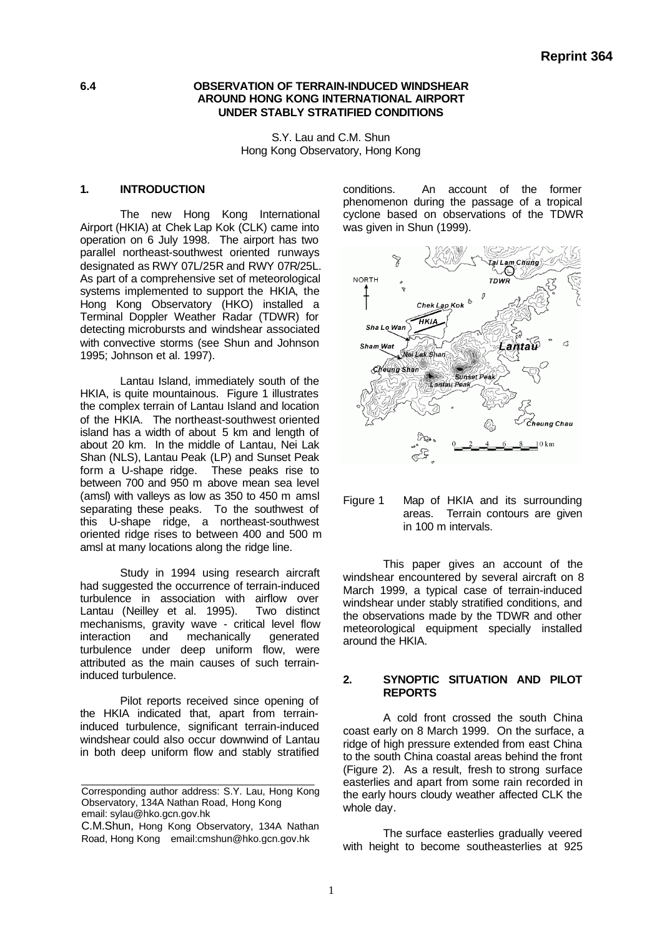# **6.4 OBSERVATION OF TERRAIN-INDUCED WINDSHEAR AROUND HONG KONG INTERNATIONAL AIRPORT UNDER STABLY STRATIFIED CONDITIONS**

S.Y. Lau and C.M. Shun Hong Kong Observatory, Hong Kong

#### **1. INTRODUCTION**

The new Hong Kong International Airport (HKIA) at Chek Lap Kok (CLK) came into operation on 6 July 1998. The airport has two parallel northeast-southwest oriented runways designated as RWY 07L/25R and RWY 07R/25L. As part of a comprehensive set of meteorological systems implemented to support the HKIA, the Hong Kong Observatory (HKO) installed a Terminal Doppler Weather Radar (TDWR) for detecting microbursts and windshear associated with convective storms (see Shun and Johnson 1995; Johnson et al. 1997).

Lantau Island, immediately south of the HKIA, is quite mountainous. Figure 1 illustrates the complex terrain of Lantau Island and location of the HKIA. The northeast-southwest oriented island has a width of about 5 km and length of about 20 km. In the middle of Lantau, Nei Lak Shan (NLS), Lantau Peak (LP) and Sunset Peak form a U-shape ridge. These peaks rise to between 700 and 950 m above mean sea level (amsl) with valleys as low as 350 to 450 m amsl separating these peaks. To the southwest of this U-shape ridge, a northeast-southwest oriented ridge rises to between 400 and 500 m amsl at many locations along the ridge line.

Study in 1994 using research aircraft had suggested the occurrence of terrain-induced turbulence in association with airflow over<br>Lantau (Neilley et al. 1995). Two distinct Lantau (Neilley et al. 1995). mechanisms, gravity wave - critical level flow interaction and mechanically generated turbulence under deep uniform flow, were attributed as the main causes of such terraininduced turbulence.

Pilot reports received since opening of the HKIA indicated that, apart from terraininduced turbulence, significant terrain-induced windshear could also occur downwind of Lantau in both deep uniform flow and stably stratified

\_\_\_\_\_\_\_\_\_\_\_\_\_\_\_\_\_\_\_\_\_\_\_\_\_\_\_\_\_\_\_\_\_\_\_\_\_\_\_\_\_\_

conditions. An account of the former phenomenon during the passage of a tropical cyclone based on observations of the TDWR was given in Shun (1999).



Figure 1 Map of HKIA and its surrounding areas. Terrain contours are given in 100 m intervals.

This paper gives an account of the windshear encountered by several aircraft on 8 March 1999, a typical case of terrain-induced windshear under stably stratified conditions, and the observations made by the TDWR and other meteorological equipment specially installed around the HKIA.

# **2. SYNOPTIC SITUATION AND PILOT REPORTS**

A cold front crossed the south China coast early on 8 March 1999. On the surface, a ridge of high pressure extended from east China to the south China coastal areas behind the front (Figure 2). As a result, fresh to strong surface easterlies and apart from some rain recorded in the early hours cloudy weather affected CLK the whole day.

The surface easterlies gradually veered with height to become southeasterlies at 925

Corresponding author address: S.Y. Lau, Hong Kong Observatory, 134A Nathan Road, Hong Kong email: sylau@hko.gcn.gov.hk

C.M.Shun, Hong Kong Observatory, 134A Nathan Road, Hong Kong email:cmshun@hko.gcn.gov.hk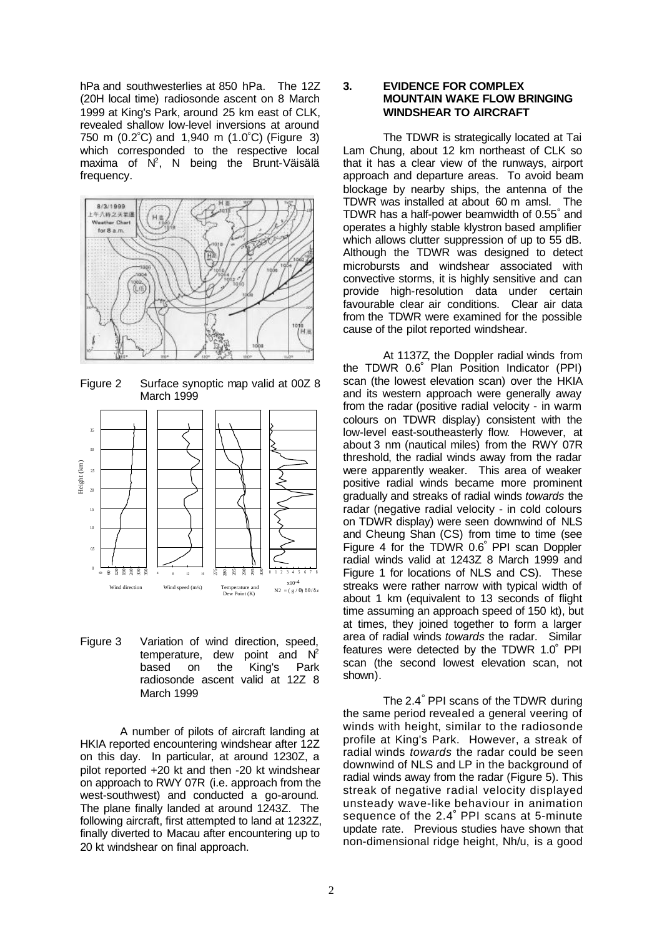hPa and southwesterlies at 850 hPa. The 12Z (20H local time) radiosonde ascent on 8 March 1999 at King's Park, around 25 km east of CLK, revealed shallow low-level inversions at around 750 m (0.2° C) and 1,940 m (1.0° C) (Figure 3) which corresponded to the respective local maxima of  $N^2$ , N being the Brunt-Väisälä frequency.



Figure 2 Surface synoptic map valid at 00Z 8 March 1999



Figure 3 Variation of wind direction, speed, temperature, dew point and  $N^2$ based on the King's Park radiosonde ascent valid at 12Z 8 March 1999

A number of pilots of aircraft landing at HKIA reported encountering windshear after 12Z on this day. In particular, at around 1230Z, a pilot reported +20 kt and then -20 kt windshear on approach to RWY 07R (i.e. approach from the west-southwest) and conducted a go-around. The plane finally landed at around 1243Z. The following aircraft, first attempted to land at 1232Z, finally diverted to Macau after encountering up to 20 kt windshear on final approach.

# **3. EVIDENCE FOR COMPLEX MOUNTAIN WAKE FLOW BRINGING WINDSHEAR TO AIRCRAFT**

The TDWR is strategically located at Tai Lam Chung, about 12 km northeast of CLK so that it has a clear view of the runways, airport approach and departure areas. To avoid beam blockage by nearby ships, the antenna of the TDWR was installed at about 60 m amsl. The TDWR has a half-power beamwidth of 0.55° and operates a highly stable klystron based amplifier which allows clutter suppression of up to 55 dB. Although the TDWR was designed to detect microbursts and windshear associated with convective storms, it is highly sensitive and can provide high-resolution data under certain favourable clear air conditions. Clear air data from the TDWR were examined for the possible cause of the pilot reported windshear.

At 1137Z, the Doppler radial winds from the TDWR 0.6° Plan Position Indicator (PPI) scan (the lowest elevation scan) over the HKIA and its western approach were generally away from the radar (positive radial velocity - in warm colours on TDWR display) consistent with the low-level east-southeasterly flow. However, at about 3 nm (nautical miles) from the RWY 07R threshold, the radial winds away from the radar were apparently weaker. This area of weaker positive radial winds became more prominent gradually and streaks of radial winds *towards* the radar (negative radial velocity - in cold colours on TDWR display) were seen downwind of NLS and Cheung Shan (CS) from time to time (see Figure 4 for the TDWR 0.6° PPI scan Doppler radial winds valid at 1243Z 8 March 1999 and Figure 1 for locations of NLS and CS). These streaks were rather narrow with typical width of about 1 km (equivalent to 13 seconds of flight time assuming an approach speed of 150 kt), but at times, they joined together to form a larger area of radial winds *towards* the radar. Similar features were detected by the TDWR 1.0° PPI scan (the second lowest elevation scan, not shown).

The 2.4° PPI scans of the TDWR during the same period revealed a general veering of winds with height, similar to the radiosonde profile at King's Park. However, a streak of radial winds *towards* the radar could be seen downwind of NLS and LP in the background of radial winds away from the radar (Figure 5). This streak of negative radial velocity displayed unsteady wave-like behaviour in animation sequence of the 2.4° PPI scans at 5-minute update rate. Previous studies have shown that non-dimensional ridge height, Nh/u, is a good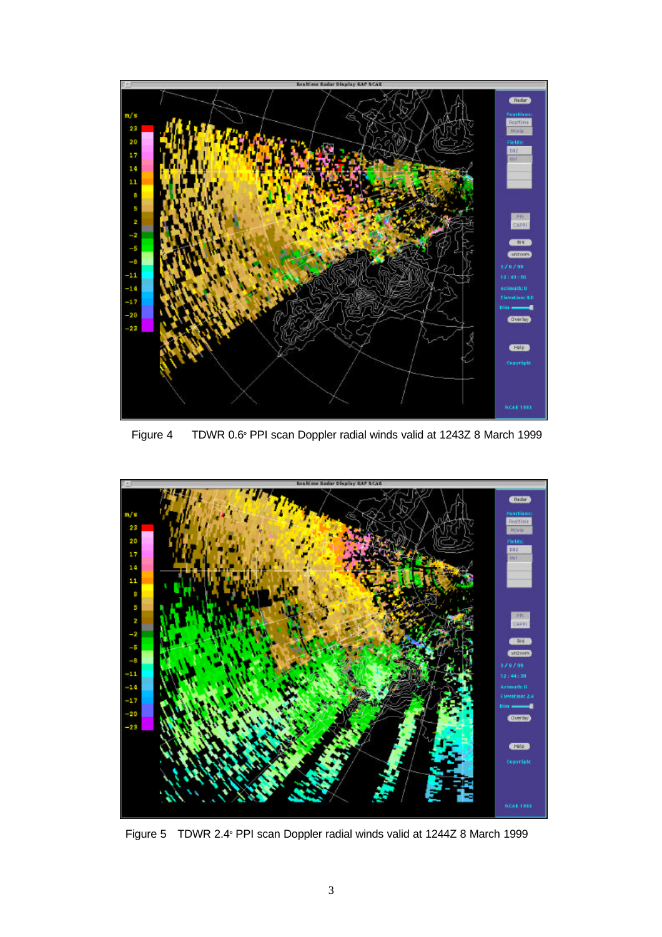

Figure 4 TDWR 0.6° PPI scan Doppler radial winds valid at 1243Z 8 March 1999



Figure 5 TDWR 2.4° PPI scan Doppler radial winds valid at 1244Z 8 March 1999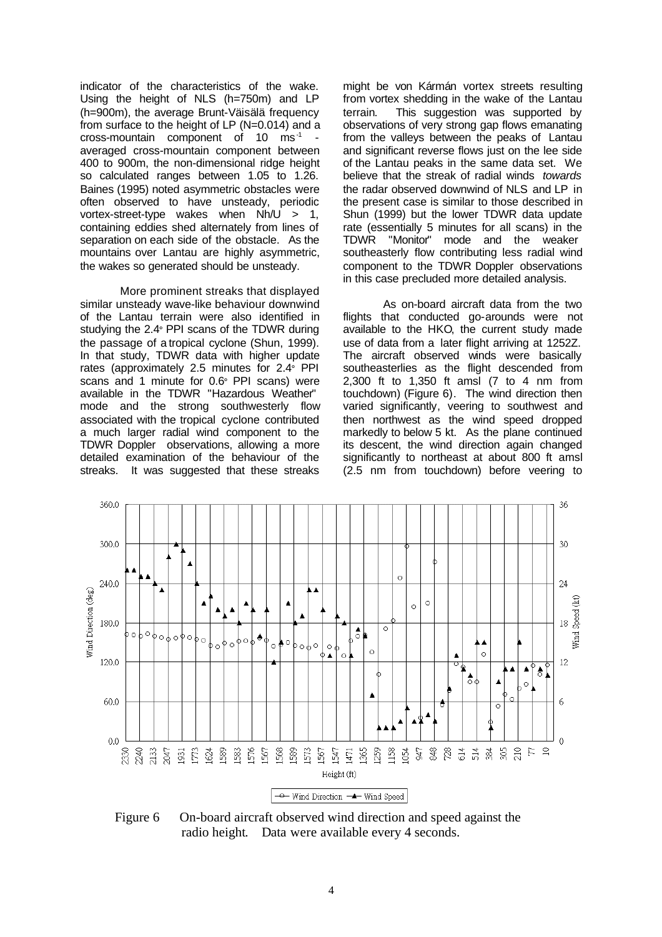indicator of the characteristics of the wake. Using the height of NLS (h=750m) and LP (h=900m), the average Brunt-Väisälä frequency from surface to the height of LP (N=0.014) and a cross-mountain component of  $10$  ms<sup>-1</sup> averaged cross-mountain component between 400 to 900m, the non-dimensional ridge height so calculated ranges between 1.05 to 1.26. Baines (1995) noted asymmetric obstacles were often observed to have unsteady, periodic vortex-street-type wakes when Nh/U > 1, containing eddies shed alternately from lines of separation on each side of the obstacle. As the mountains over Lantau are highly asymmetric, the wakes so generated should be unsteady.

More prominent streaks that displayed similar unsteady wave-like behaviour downwind of the Lantau terrain were also identified in studying the 2.4° PPI scans of the TDWR during the passage of a tropical cyclone (Shun, 1999). In that study, TDWR data with higher update rates (approximately 2.5 minutes for 2.4° PPI scans and 1 minute for 0.6° PPI scans) were available in the TDWR "Hazardous Weather" mode and the strong southwesterly flow associated with the tropical cyclone contributed a much larger radial wind component to the TDWR Doppler observations, allowing a more detailed examination of the behaviour of the streaks. It was suggested that these streaks

might be von Kármán vortex streets resulting from vortex shedding in the wake of the Lantau terrain. This suggestion was supported by observations of very strong gap flows emanating from the valleys between the peaks of Lantau and significant reverse flows just on the lee side of the Lantau peaks in the same data set. We believe that the streak of radial winds *towards* the radar observed downwind of NLS and LP in the present case is similar to those described in Shun (1999) but the lower TDWR data update rate (essentially 5 minutes for all scans) in the TDWR "Monitor" mode and the weaker southeasterly flow contributing less radial wind component to the TDWR Doppler observations in this case precluded more detailed analysis.

As on-board aircraft data from the two flights that conducted go-arounds were not available to the HKO, the current study made use of data from a later flight arriving at 1252Z. The aircraft observed winds were basically southeasterlies as the flight descended from 2,300 ft to 1,350 ft amsl (7 to 4 nm from touchdown) (Figure 6). The wind direction then varied significantly, veering to southwest and then northwest as the wind speed dropped markedly to below 5 kt. As the plane continued its descent, the wind direction again changed significantly to northeast at about 800 ft amsl (2.5 nm from touchdown) before veering to



Figure 6 On-board aircraft observed wind direction and speed against the radio height. Data were available every 4 seconds.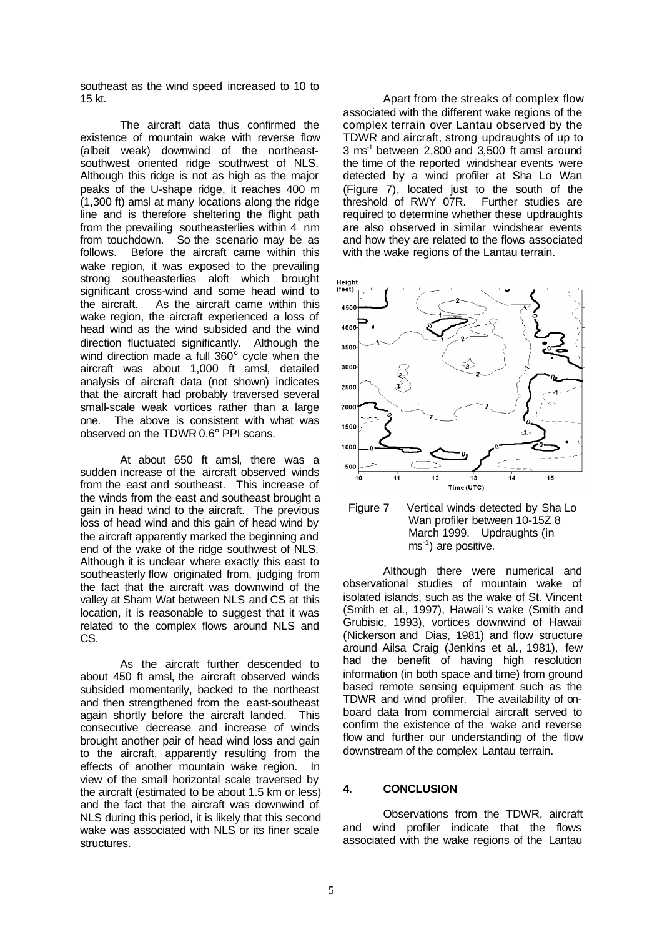southeast as the wind speed increased to 10 to 15 kt.

The aircraft data thus confirmed the existence of mountain wake with reverse flow (albeit weak) downwind of the northeastsouthwest oriented ridge southwest of NLS. Although this ridge is not as high as the major peaks of the U-shape ridge, it reaches 400 m (1,300 ft) amsl at many locations along the ridge line and is therefore sheltering the flight path from the prevailing southeasterlies within 4 nm from touchdown. So the scenario may be as follows. Before the aircraft came within this wake region, it was exposed to the prevailing strong southeasterlies aloft which brought significant cross-wind and some head wind to the aircraft. As the aircraft came within this wake region, the aircraft experienced a loss of head wind as the wind subsided and the wind direction fluctuated significantly. Although the wind direction made a full 360° cycle when the aircraft was about 1,000 ft amsl, detailed analysis of aircraft data (not shown) indicates that the aircraft had probably traversed several small-scale weak vortices rather than a large<br>one. The above is consistent with what was The above is consistent with what was observed on the TDWR 0.6° PPI scans.

At about 650 ft amsl, there was a sudden increase of the aircraft observed winds from the east and southeast. This increase of the winds from the east and southeast brought a gain in head wind to the aircraft. The previous loss of head wind and this gain of head wind by the aircraft apparently marked the beginning and end of the wake of the ridge southwest of NLS. Although it is unclear where exactly this east to southeasterly flow originated from, judging from the fact that the aircraft was downwind of the valley at Sham Wat between NLS and CS at this location, it is reasonable to suggest that it was related to the complex flows around NLS and CS.

As the aircraft further descended to about 450 ft amsl, the aircraft observed winds subsided momentarily, backed to the northeast and then strengthened from the east-southeast again shortly before the aircraft landed. This consecutive decrease and increase of winds brought another pair of head wind loss and gain to the aircraft, apparently resulting from the effects of another mountain wake region. In view of the small horizontal scale traversed by the aircraft (estimated to be about 1.5 km or less) and the fact that the aircraft was downwind of NLS during this period, it is likely that this second wake was associated with NLS or its finer scale structures.

Apart from the streaks of complex flow associated with the different wake regions of the complex terrain over Lantau observed by the TDWR and aircraft, strong updraughts of up to 3 ms-1 between 2,800 and 3,500 ft amsl around the time of the reported windshear events were detected by a wind profiler at Sha Lo Wan (Figure 7), located just to the south of the threshold of RWY 07R. Further studies are required to determine whether these updraughts are also observed in similar windshear events and how they are related to the flows associated with the wake regions of the Lantau terrain.



Figure 7 Vertical winds detected by Sha Lo Wan profiler between 10-15Z 8 March 1999. Updraughts (in ms-1) are positive.

Although there were numerical and observational studies of mountain wake of isolated islands, such as the wake of St. Vincent (Smith et al., 1997), Hawaii 's wake (Smith and Grubisic, 1993), vortices downwind of Hawaii (Nickerson and Dias, 1981) and flow structure around Ailsa Craig (Jenkins et al., 1981), few had the benefit of having high resolution information (in both space and time) from ground based remote sensing equipment such as the TDWR and wind profiler. The availability of onboard data from commercial aircraft served to confirm the existence of the wake and reverse flow and further our understanding of the flow downstream of the complex Lantau terrain.

### **4. CONCLUSION**

Observations from the TDWR, aircraft and wind profiler indicate that the flows associated with the wake regions of the Lantau